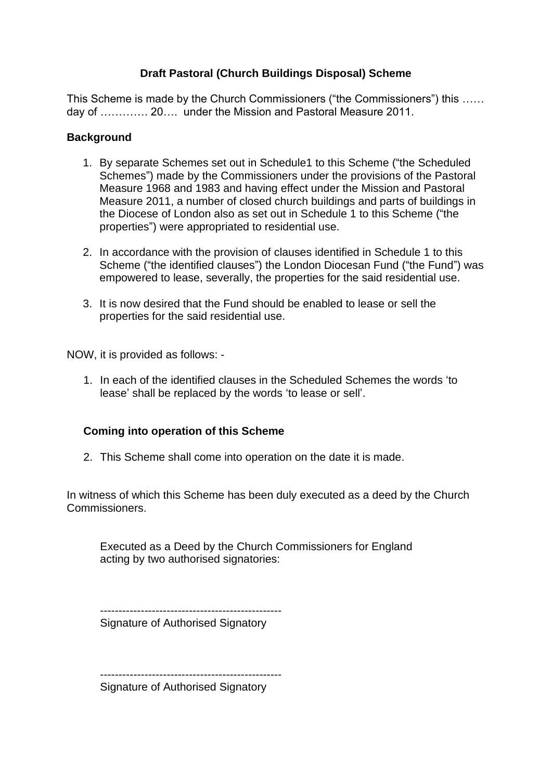# **Draft Pastoral (Church Buildings Disposal) Scheme**

This Scheme is made by the Church Commissioners ("the Commissioners") this …… day of …………. 20…. under the Mission and Pastoral Measure 2011.

## **Background**

- 1. By separate Schemes set out in Schedule1 to this Scheme ("the Scheduled Schemes") made by the Commissioners under the provisions of the Pastoral Measure 1968 and 1983 and having effect under the Mission and Pastoral Measure 2011, a number of closed church buildings and parts of buildings in the Diocese of London also as set out in Schedule 1 to this Scheme ("the properties") were appropriated to residential use.
- 2. In accordance with the provision of clauses identified in Schedule 1 to this Scheme ("the identified clauses") the London Diocesan Fund ("the Fund") was empowered to lease, severally, the properties for the said residential use.
- 3. It is now desired that the Fund should be enabled to lease or sell the properties for the said residential use.

NOW, it is provided as follows: -

1. In each of the identified clauses in the Scheduled Schemes the words 'to lease' shall be replaced by the words 'to lease or sell'.

## **Coming into operation of this Scheme**

2. This Scheme shall come into operation on the date it is made.

In witness of which this Scheme has been duly executed as a deed by the Church Commissioners.

Executed as a Deed by the Church Commissioners for England acting by two authorised signatories:

-------------------------------------------------

Signature of Authorised Signatory

-------------------------------------------------

Signature of Authorised Signatory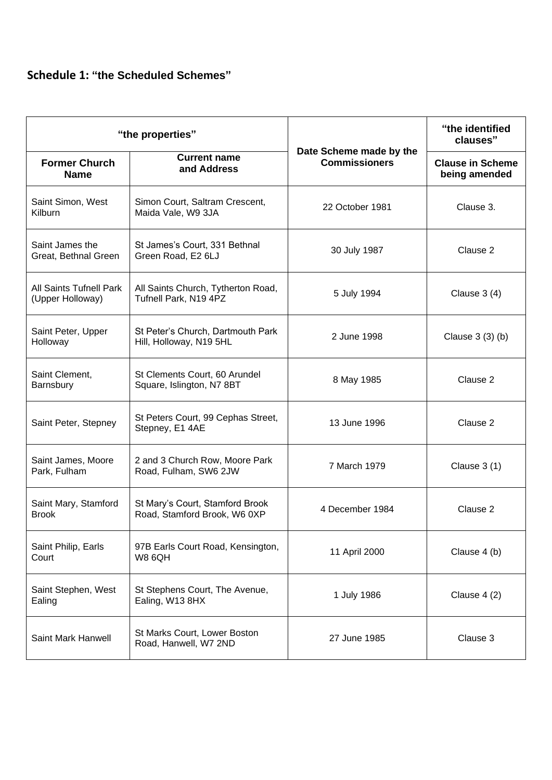# **Schedule 1: "the Scheduled Schemes"**

| "the properties"                            |                                                                 |                                                 | "the identified<br>clauses"              |
|---------------------------------------------|-----------------------------------------------------------------|-------------------------------------------------|------------------------------------------|
| <b>Former Church</b><br><b>Name</b>         | <b>Current name</b><br>and Address                              | Date Scheme made by the<br><b>Commissioners</b> | <b>Clause in Scheme</b><br>being amended |
| Saint Simon, West<br>Kilburn                | Simon Court, Saltram Crescent,<br>Maida Vale, W9 3JA            | 22 October 1981                                 | Clause 3.                                |
| Saint James the<br>Great, Bethnal Green     | St James's Court, 331 Bethnal<br>Green Road, E2 6LJ             | 30 July 1987                                    | Clause 2                                 |
| All Saints Tufnell Park<br>(Upper Holloway) | All Saints Church, Tytherton Road,<br>Tufnell Park, N19 4PZ     | 5 July 1994                                     | Clause $3(4)$                            |
| Saint Peter, Upper<br>Holloway              | St Peter's Church, Dartmouth Park<br>Hill, Holloway, N19 5HL    | 2 June 1998                                     | Clause 3 (3) (b)                         |
| Saint Clement,<br>Barnsbury                 | St Clements Court, 60 Arundel<br>Square, Islington, N7 8BT      | 8 May 1985                                      | Clause 2                                 |
| Saint Peter, Stepney                        | St Peters Court, 99 Cephas Street,<br>Stepney, E1 4AE           | 13 June 1996                                    | Clause 2                                 |
| Saint James, Moore<br>Park, Fulham          | 2 and 3 Church Row, Moore Park<br>Road, Fulham, SW6 2JW         | 7 March 1979                                    | Clause $3(1)$                            |
| Saint Mary, Stamford<br><b>Brook</b>        | St Mary's Court, Stamford Brook<br>Road, Stamford Brook, W6 0XP | 4 December 1984                                 | Clause 2                                 |
| Saint Philip, Earls<br>Court                | 97B Earls Court Road, Kensington,<br><b>W8 6QH</b>              | 11 April 2000                                   | Clause 4 (b)                             |
| Saint Stephen, West<br>Ealing               | St Stephens Court, The Avenue,<br>Ealing, W13 8HX               | 1 July 1986                                     | Clause $4(2)$                            |
| Saint Mark Hanwell                          | St Marks Court, Lower Boston<br>Road, Hanwell, W7 2ND           | 27 June 1985                                    | Clause 3                                 |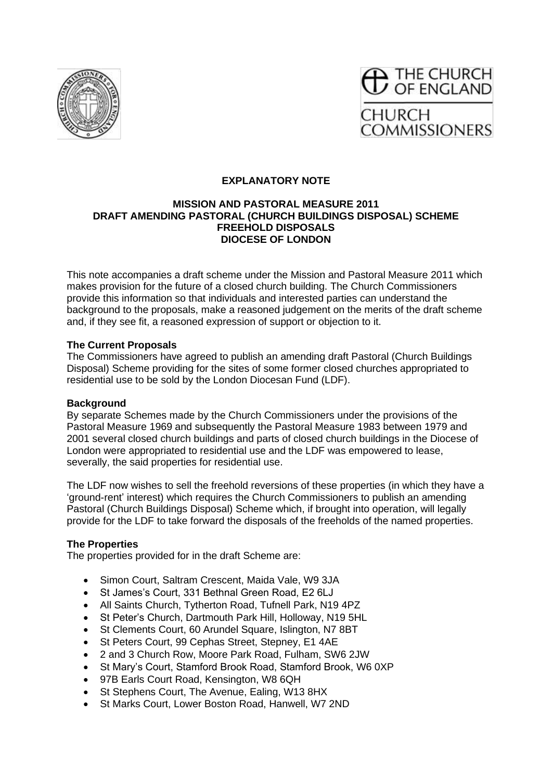



## **EXPLANATORY NOTE**

#### **MISSION AND PASTORAL MEASURE 2011 DRAFT AMENDING PASTORAL (CHURCH BUILDINGS DISPOSAL) SCHEME FREEHOLD DISPOSALS DIOCESE OF LONDON**

This note accompanies a draft scheme under the Mission and Pastoral Measure 2011 which makes provision for the future of a closed church building. The Church Commissioners provide this information so that individuals and interested parties can understand the background to the proposals, make a reasoned judgement on the merits of the draft scheme and, if they see fit, a reasoned expression of support or objection to it.

#### **The Current Proposals**

The Commissioners have agreed to publish an amending draft Pastoral (Church Buildings Disposal) Scheme providing for the sites of some former closed churches appropriated to residential use to be sold by the London Diocesan Fund (LDF).

#### **Background**

By separate Schemes made by the Church Commissioners under the provisions of the Pastoral Measure 1969 and subsequently the Pastoral Measure 1983 between 1979 and 2001 several closed church buildings and parts of closed church buildings in the Diocese of London were appropriated to residential use and the LDF was empowered to lease, severally, the said properties for residential use.

The LDF now wishes to sell the freehold reversions of these properties (in which they have a 'ground-rent' interest) which requires the Church Commissioners to publish an amending Pastoral (Church Buildings Disposal) Scheme which, if brought into operation, will legally provide for the LDF to take forward the disposals of the freeholds of the named properties.

#### **The Properties**

The properties provided for in the draft Scheme are:

- Simon Court, Saltram Crescent, Maida Vale, W9 3JA
- St James's Court, 331 Bethnal Green Road, E2 6LJ
- All Saints Church, Tytherton Road, Tufnell Park, N19 4PZ
- St Peter's Church, Dartmouth Park Hill, Holloway, N19 5HL
- St Clements Court, 60 Arundel Square, Islington, N7 8BT
- St Peters Court, 99 Cephas Street, Stepney, E1 4AE
- 2 and 3 Church Row, Moore Park Road, Fulham, SW6 2JW
- St Mary's Court, Stamford Brook Road, Stamford Brook, W6 0XP
- 97B Earls Court Road, Kensington, W8 6QH
- St Stephens Court, The Avenue, Ealing, W13 8HX
- St Marks Court, Lower Boston Road, Hanwell, W7 2ND